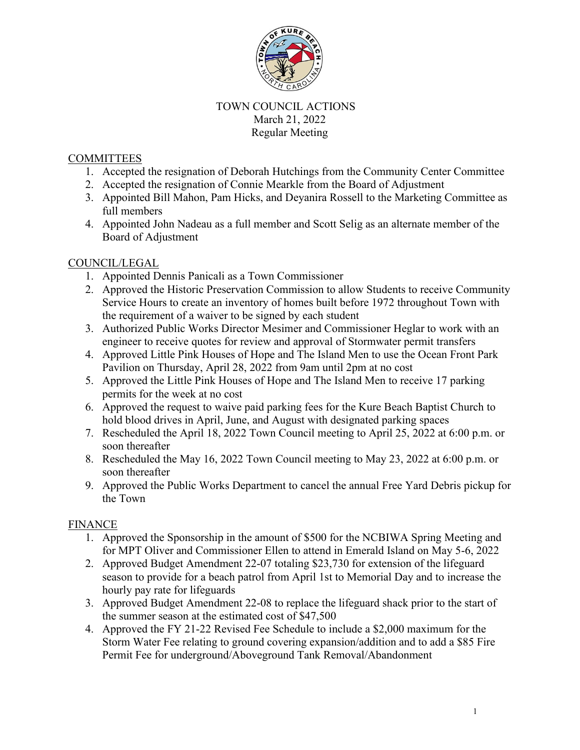

# TOWN COUNCIL ACTIONS March 21, 2022 Regular Meeting

### **COMMITTEES**

- 1. Accepted the resignation of Deborah Hutchings from the Community Center Committee
- 2. Accepted the resignation of Connie Mearkle from the Board of Adjustment
- 3. Appointed Bill Mahon, Pam Hicks, and Deyanira Rossell to the Marketing Committee as full members
- 4. Appointed John Nadeau as a full member and Scott Selig as an alternate member of the Board of Adjustment

#### COUNCIL/LEGAL

- 1. Appointed Dennis Panicali as a Town Commissioner
- 2. Approved the Historic Preservation Commission to allow Students to receive Community Service Hours to create an inventory of homes built before 1972 throughout Town with the requirement of a waiver to be signed by each student
- 3. Authorized Public Works Director Mesimer and Commissioner Heglar to work with an engineer to receive quotes for review and approval of Stormwater permit transfers
- 4. Approved Little Pink Houses of Hope and The Island Men to use the Ocean Front Park Pavilion on Thursday, April 28, 2022 from 9am until 2pm at no cost
- 5. Approved the Little Pink Houses of Hope and The Island Men to receive 17 parking permits for the week at no cost
- 6. Approved the request to waive paid parking fees for the Kure Beach Baptist Church to hold blood drives in April, June, and August with designated parking spaces
- 7. Rescheduled the April 18, 2022 Town Council meeting to April 25, 2022 at 6:00 p.m. or soon thereafter
- 8. Rescheduled the May 16, 2022 Town Council meeting to May 23, 2022 at 6:00 p.m. or soon thereafter
- 9. Approved the Public Works Department to cancel the annual Free Yard Debris pickup for the Town

# FINANCE

- 1. Approved the Sponsorship in the amount of \$500 for the NCBIWA Spring Meeting and for MPT Oliver and Commissioner Ellen to attend in Emerald Island on May 5-6, 2022
- 2. Approved Budget Amendment 22-07 totaling \$23,730 for extension of the lifeguard season to provide for a beach patrol from April 1st to Memorial Day and to increase the hourly pay rate for lifeguards
- 3. Approved Budget Amendment 22-08 to replace the lifeguard shack prior to the start of the summer season at the estimated cost of \$47,500
- 4. Approved the FY 21-22 Revised Fee Schedule to include a \$2,000 maximum for the Storm Water Fee relating to ground covering expansion/addition and to add a \$85 Fire Permit Fee for underground/Aboveground Tank Removal/Abandonment